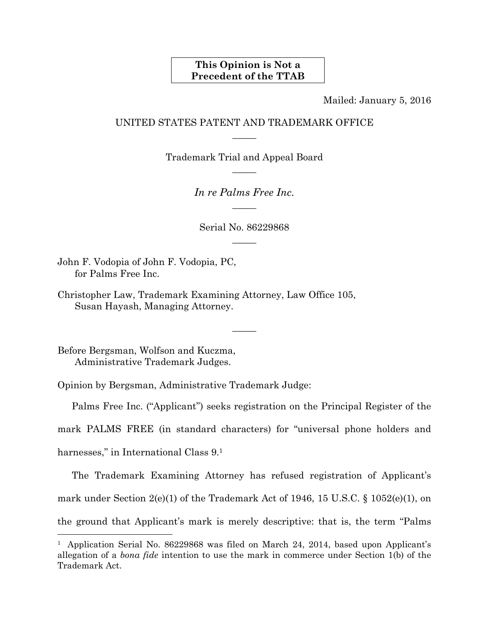## **This Opinion is Not a Precedent of the TTAB**

Mailed: January 5, 2016

## UNITED STATES PATENT AND TRADEMARK OFFICE  $\overline{\phantom{a}}$

Trademark Trial and Appeal Board  $\overline{\phantom{a}}$ 

> *In re Palms Free Inc.*   $\overline{\phantom{a}}$

Serial No. 86229868  $\overline{\phantom{a}}$ 

John F. Vodopia of John F. Vodopia, PC, for Palms Free Inc.

Christopher Law, Trademark Examining Attorney, Law Office 105, Susan Hayash, Managing Attorney.

Before Bergsman, Wolfson and Kuczma, Administrative Trademark Judges.

Opinion by Bergsman, Administrative Trademark Judge:

Palms Free Inc. ("Applicant") seeks registration on the Principal Register of the

 $\overline{\phantom{a}}$ 

mark PALMS FREE (in standard characters) for "universal phone holders and

harnesses," in International Class 9.1

l

The Trademark Examining Attorney has refused registration of Applicant's mark under Section 2(e)(1) of the Trademark Act of 1946, 15 U.S.C. § 1052(e)(1), on the ground that Applicant's mark is merely descriptive: that is, the term "Palms

<sup>&</sup>lt;sup>1</sup> Application Serial No. 86229868 was filed on March 24, 2014, based upon Applicant's allegation of a *bona fide* intention to use the mark in commerce under Section 1(b) of the Trademark Act.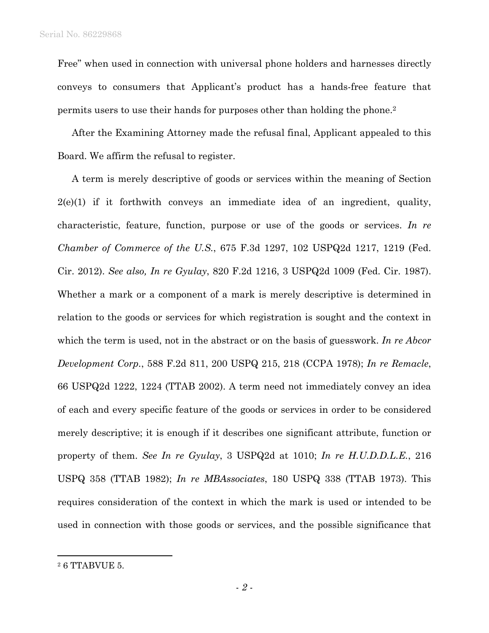Free" when used in connection with universal phone holders and harnesses directly conveys to consumers that Applicant's product has a hands-free feature that permits users to use their hands for purposes other than holding the phone.2

After the Examining Attorney made the refusal final, Applicant appealed to this Board. We affirm the refusal to register.

A term is merely descriptive of goods or services within the meaning of Section  $2(e)(1)$  if it forthwith conveys an immediate idea of an ingredient, quality, characteristic, feature, function, purpose or use of the goods or services. *In re Chamber of Commerce of the U.S.*, 675 F.3d 1297, 102 USPQ2d 1217, 1219 (Fed. Cir. 2012). *See also, In re Gyulay*, 820 F.2d 1216, 3 USPQ2d 1009 (Fed. Cir. 1987). Whether a mark or a component of a mark is merely descriptive is determined in relation to the goods or services for which registration is sought and the context in which the term is used, not in the abstract or on the basis of guesswork. *In re Abcor Development Corp.*, 588 F.2d 811, 200 USPQ 215, 218 (CCPA 1978); *In re Remacle*, 66 USPQ2d 1222, 1224 (TTAB 2002). A term need not immediately convey an idea of each and every specific feature of the goods or services in order to be considered merely descriptive; it is enough if it describes one significant attribute, function or property of them. *See In re Gyulay*, 3 USPQ2d at 1010; *In re H.U.D.D.L.E.*, 216 USPQ 358 (TTAB 1982); *In re MBAssociates*, 180 USPQ 338 (TTAB 1973). This requires consideration of the context in which the mark is used or intended to be used in connection with those goods or services, and the possible significance that

 $\overline{a}$ 

<sup>2 6</sup> TTABVUE 5.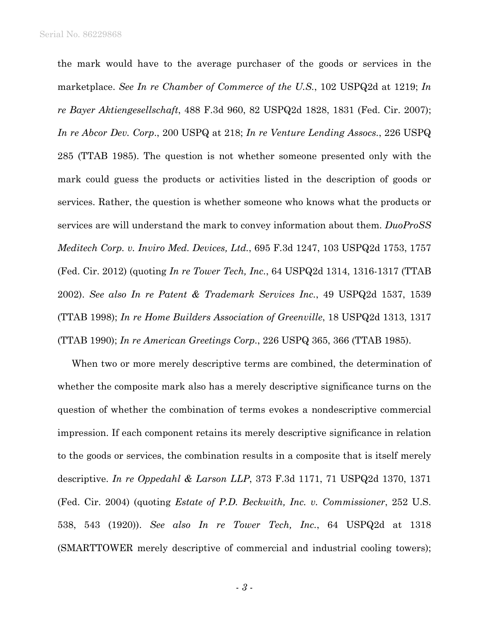the mark would have to the average purchaser of the goods or services in the marketplace. *See In re Chamber of Commerce of the U.S.*, 102 USPQ2d at 1219; *In re Bayer Aktiengesellschaft*, 488 F.3d 960, 82 USPQ2d 1828, 1831 (Fed. Cir. 2007); *In re Abcor Dev. Corp*., 200 USPQ at 218; *In re Venture Lending Assocs.*, 226 USPQ 285 (TTAB 1985). The question is not whether someone presented only with the mark could guess the products or activities listed in the description of goods or services. Rather, the question is whether someone who knows what the products or services are will understand the mark to convey information about them. *DuoProSS Meditech Corp. v. Inviro Med. Devices, Ltd.*, 695 F.3d 1247, 103 USPQ2d 1753, 1757 (Fed. Cir. 2012) (quoting *In re Tower Tech, Inc.*, 64 USPQ2d 1314, 1316-1317 (TTAB 2002). *See also In re Patent & Trademark Services Inc.*, 49 USPQ2d 1537, 1539 (TTAB 1998); *In re Home Builders Association of Greenville*, 18 USPQ2d 1313, 1317 (TTAB 1990); *In re American Greetings Corp.*, 226 USPQ 365, 366 (TTAB 1985).

When two or more merely descriptive terms are combined, the determination of whether the composite mark also has a merely descriptive significance turns on the question of whether the combination of terms evokes a nondescriptive commercial impression. If each component retains its merely descriptive significance in relation to the goods or services, the combination results in a composite that is itself merely descriptive. *In re Oppedahl & Larson LLP*, 373 F.3d 1171, 71 USPQ2d 1370, 1371 (Fed. Cir. 2004) (quoting *Estate of P.D. Beckwith, Inc. v. Commissioner*, 252 U.S. 538, 543 (1920)). *See also In re Tower Tech, Inc.*, 64 USPQ2d at 1318 (SMARTTOWER merely descriptive of commercial and industrial cooling towers);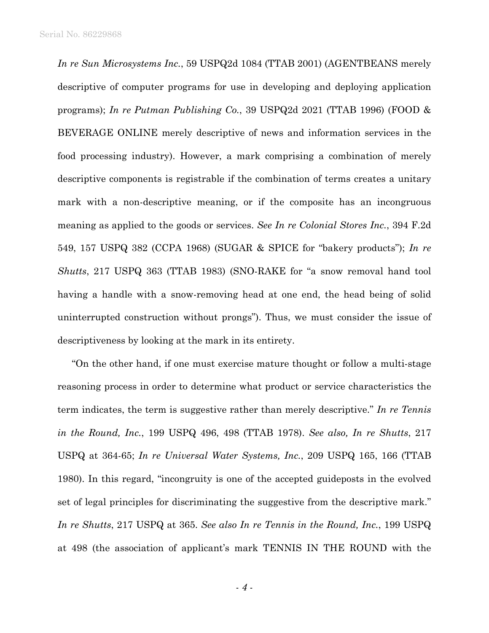*In re Sun Microsystems Inc.*, 59 USPQ2d 1084 (TTAB 2001) (AGENTBEANS merely descriptive of computer programs for use in developing and deploying application programs); *In re Putman Publishing Co.*, 39 USPQ2d 2021 (TTAB 1996) (FOOD & BEVERAGE ONLINE merely descriptive of news and information services in the food processing industry). However, a mark comprising a combination of merely descriptive components is registrable if the combination of terms creates a unitary mark with a non-descriptive meaning, or if the composite has an incongruous meaning as applied to the goods or services. *See In re Colonial Stores Inc.*, 394 F.2d 549, 157 USPQ 382 (CCPA 1968) (SUGAR & SPICE for "bakery products"); *In re Shutts*, 217 USPQ 363 (TTAB 1983) (SNO-RAKE for "a snow removal hand tool having a handle with a snow-removing head at one end, the head being of solid uninterrupted construction without prongs"). Thus, we must consider the issue of descriptiveness by looking at the mark in its entirety.

"On the other hand, if one must exercise mature thought or follow a multi-stage reasoning process in order to determine what product or service characteristics the term indicates, the term is suggestive rather than merely descriptive." *In re Tennis in the Round, Inc.*, 199 USPQ 496, 498 (TTAB 1978). *See also, In re Shutts*, 217 USPQ at 364-65; *In re Universal Water Systems, Inc.*, 209 USPQ 165, 166 (TTAB 1980). In this regard, "incongruity is one of the accepted guideposts in the evolved set of legal principles for discriminating the suggestive from the descriptive mark." *In re Shutts*, 217 USPQ at 365. *See also In re Tennis in the Round, Inc.*, 199 USPQ at 498 (the association of applicant's mark TENNIS IN THE ROUND with the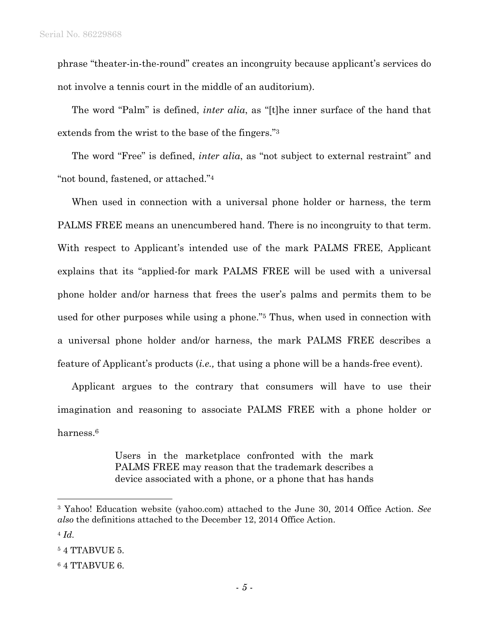phrase "theater-in-the-round" creates an incongruity because applicant's services do not involve a tennis court in the middle of an auditorium).

The word "Palm" is defined, *inter alia*, as "[t]he inner surface of the hand that extends from the wrist to the base of the fingers."3

The word "Free" is defined, *inter alia*, as "not subject to external restraint" and "not bound, fastened, or attached."4

When used in connection with a universal phone holder or harness, the term PALMS FREE means an unencumbered hand. There is no incongruity to that term. With respect to Applicant's intended use of the mark PALMS FREE, Applicant explains that its "applied-for mark PALMS FREE will be used with a universal phone holder and/or harness that frees the user's palms and permits them to be used for other purposes while using a phone."5 Thus, when used in connection with a universal phone holder and/or harness, the mark PALMS FREE describes a feature of Applicant's products (*i.e.,* that using a phone will be a hands-free event).

Applicant argues to the contrary that consumers will have to use their imagination and reasoning to associate PALMS FREE with a phone holder or harness<sup>6</sup>

> Users in the marketplace confronted with the mark PALMS FREE may reason that the trademark describes a device associated with a phone, or a phone that has hands

 $\overline{a}$ 

<sup>3</sup> Yahoo! Education website (yahoo.com) attached to the June 30, 2014 Office Action. *See also* the definitions attached to the December 12, 2014 Office Action.

<sup>4</sup> *Id.*

<sup>5 4</sup> TTABVUE 5.

<sup>6 4</sup> TTABVUE 6.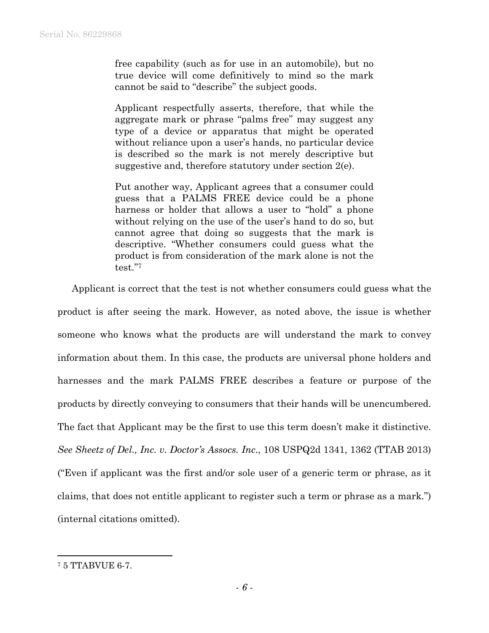free capability (such as for use in an automobile), but no true device will come definitively to mind so the mark cannot be said to "describe" the subject goods.

Applicant respectfully asserts, therefore, that while the aggregate mark or phrase "palms free" may suggest any type of a device or apparatus that might be operated without reliance upon a user's hands, no particular device is described so the mark is not merely descriptive but suggestive and, therefore statutory under section 2(e).

Put another way, Applicant agrees that a consumer could guess that a PALMS FREE device could be a phone harness or holder that allows a user to "hold" a phone without relying on the use of the user's hand to do so, but cannot agree that doing so suggests that the mark is descriptive. "Whether consumers could guess what the product is from consideration of the mark alone is not the test."7

Applicant is correct that the test is not whether consumers could guess what the product is after seeing the mark. However, as noted above, the issue is whether someone who knows what the products are will understand the mark to convey information about them. In this case, the products are universal phone holders and harnesses and the mark PALMS FREE describes a feature or purpose of the products by directly conveying to consumers that their hands will be unencumbered. The fact that Applicant may be the first to use this term doesn't make it distinctive. *See Sheetz of Del., Inc. v. Doctor's Assocs. Inc*., 108 USPQ2d 1341, 1362 (TTAB 2013) ("Even if applicant was the first and/or sole user of a generic term or phrase, as it claims, that does not entitle applicant to register such a term or phrase as a mark.") (internal citations omitted).

 $\overline{a}$ 

<sup>7 5</sup> TTABVUE 6-7.